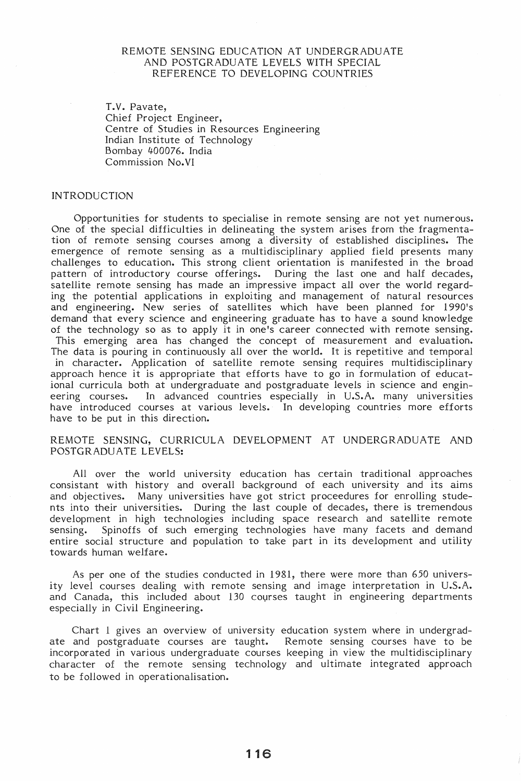## REMOTE SENSING EDUCATION AT UNDERGRADUATE AND POSTGRADUATE LEVELS WITH SPECIAL REFERENCE TO DEVELOPING COUNTRIES

T.V. Pavate, Chief Project Engineer, Centre of Studies in Resources Engineering Indian Institute of Technology Bombay 400076. India Commission No. VI

### INTRODUCTION

Opportunities for students to specialise in remote sensing are not yet numerous. One of the special difficulties in delineating the system arises from the fragmentation of remote sensing courses among a diversity of established disciplines. The emergence of remote sensing as a multidisciplinary applied field presents many challenges to education. This strong client orientation is manifested in the broad pattern of introductory course offerings. During the last one and half decades, satellite remote sensing has made an impressive impact all over the world regarding the potential applications in exploiting and management of natural resources and engineering. New series of satellites which have been planned for 1990's demand that every science and engineering graduate has to have a sound knowledge of the technology so as to apply it in one's career connected with remote sensing. This emerging area has changed the concept of measurement and evaluation. The data is pouring in continuously all over the world. It is repetitive and temporal in character. Application of satellite remote sensing requires multidisciplinary approach hence it is appropriate that efforts have to go in formulation of educational curricula both at undergraduate and postgraduate levels in science and engineering courses. In advanced countries especially in U.S.A. many universities have introduced courses at various levels. In developing countries more efforts have to be put in this direction.

#### REMOTE SENSING, CURRICULA DEVELOPMENT AT UNDERGRADUATE AND POSTGRADUATE LEVELS:

All over the world university education has certain traditional approaches consistant with history and overall background of each university and its aims and objectives. Many universities have got strict proceedures for enrolling students into their universities. During the last couple of decades, there is tremendous development in high technologies including space research and satellite remote sensing. Spinoffs of such emerging technologies have many facets and demand entire social structure and population to take part in its development and utility towards human welfare.

As per one of the studies conducted in 1981, there were more than 650 university level courses dealing with remote sensing and image interpretation in U.S.A. and Canada, this included about 130 courses taught in engineering departments especially in Civil Engineering.

Chart 1 gives an overview of university education system where in undergradate and postgraduate courses are taught. Remote sensing courses have to be incorporated in various undergraduate courses keeping in view the multidisciplinary character of the remote sensing technology and ultimate integrated approach to be followed in operationalisation.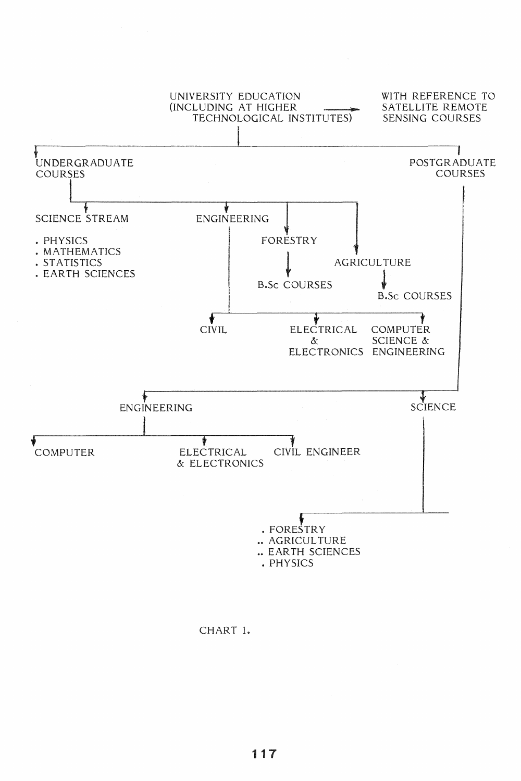

CHART 1.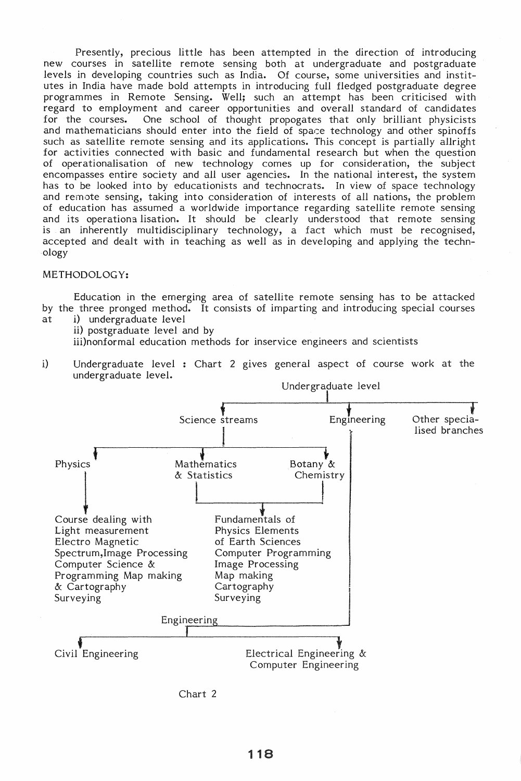Presently, precious little has been attempted in the direction of introducing new courses in satellite remote sensing both at undergraduate and postgraduate levels in developing countries such as India. Of course, some universities and institutes in India have made bold attempts in introducing full fledged postgraduate degree programmes in Remote Sensing. Well; such an attempt has been criticised with regard to employment and career opportunities and overall standard of candidates<br>for the courses. One school of thought propogates that only brilliant physicists One school of thought propogates that only brilliant physicists and mathematicians should enter into the field of space technology and other spinoffs such as satellite remote sensing and its applications. This concept is partially allright for activities connected. with basic and fundamental research but when the question of operationalisation of new technology comes up for consideration, the subject encompasses entire society and all user agencies. In the national interest, the system has to be looked into by educationists and technocrats. In view of space technology and remote sensing, taking into consideration of interests of all nations, the problem of education has assumed a worldwide importance regarding satellite remote sensing and its operationa lisation. It should be clearly understood that remote sensing is an inherently multidisciplinary technology, a fact which must be recognised, accepted and dealt with in teaching as well as in developing and applying the technology

#### METHODOLOGY:

Education in the emerging area of satellite remote sensing has to be attacked by the three pronged method. It consists of imparting and introducing special courses at i) undergraduate level

ii) postgraduate level and by

iii)nonformal education methods for inservice engineers and scientists

i) Undergraduate level : Chart 2 gives general aspect of course work at the undergraduate level.



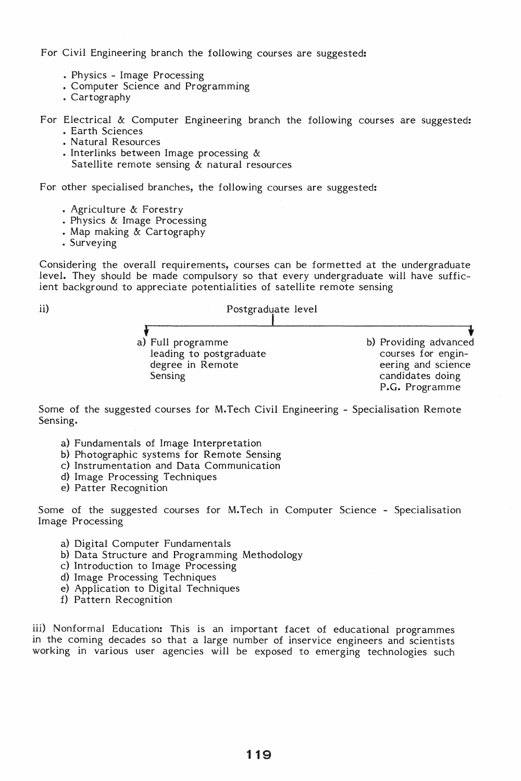For Civil Engineering branch the following courses are suggested:

- Physics Image Processing
- Computer Science and Programming
- Cartography

For Electrical & Computer Engineering branch the following courses are suggested:

- Earth Sciences
- Natural Resources
- Interlinks between Image processing &
- Satellite remote sensing & natural resources

For other specialised branches, the following courses are suggested:

- Agriculture & Forestry
- Physics & Image Processing
- Map making & Cartography
- Surveying

Considering the overall requirements, courses can be formetted at the undergraduate level. They should be made compulsory so that every undergraduate will have sufficient background to appreciate potentialities of satellite remote sensing



Some of the suggested courses for M.Tech Civil Engineering - Specialisation Remote Sensing.

- a) Fundamentals of Image Interpretation
- b) Photographic systems for Remote Sensing
- c) Instrumentation and Data Communication
- d) Image Processing Techniques
- e) Patter Recognition

Some of the suggested courses for M. Tech in Computer Science - Specialisation Image Processing

- a) Digital Computer Fundamentals
- b) Data Structure and Programming Methodology
- c) Introduction to Image Processing
- d) Image Processing Techniques
- e) Application to Digital Techniques
- f) Pattern Recognition

iii) Nonformal Education: This is an important facet of educational programmes in the coming decades so that a large number of inservice engineers and scientists working in various user agencies will be exposed to emerging technologies such